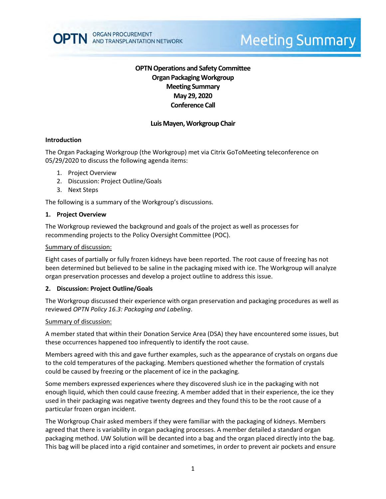

# **Meeting Summary**

## **OPTN Operations and Safety Committee Organ Packaging Workgroup Meeting Summary May 29, 2020 Conference Call**

## **Luis Mayen, Workgroup Chair**

#### **Introduction**

The Organ Packaging Workgroup (the Workgroup) met via Citrix GoToMeeting teleconference on 05/29/2020 to discuss the following agenda items:

- 1. Project Overview
- 2. Discussion: Project Outline/Goals
- 3. Next Steps

The following is a summary of the Workgroup's discussions.

#### **1. Project Overview**

The Workgroup reviewed the background and goals of the project as well as processes for recommending projects to the Policy Oversight Committee (POC).

#### Summary of discussion:

Eight cases of partially or fully frozen kidneys have been reported. The root cause of freezing has not been determined but believed to be saline in the packaging mixed with ice. The Workgroup will analyze organ preservation processes and develop a project outline to address this issue.

#### **2. Discussion: Project Outline/Goals**

The Workgroup discussed their experience with organ preservation and packaging procedures as well as reviewed *OPTN Policy 16.3: Packaging and Labeling*.

#### Summary of discussion:

A member stated that within their Donation Service Area (DSA) they have encountered some issues, but these occurrences happened too infrequently to identify the root cause.

Members agreed with this and gave further examples, such as the appearance of crystals on organs due to the cold temperatures of the packaging. Members questioned whether the formation of crystals could be caused by freezing or the placement of ice in the packaging.

Some members expressed experiences where they discovered slush ice in the packaging with not enough liquid, which then could cause freezing. A member added that in their experience, the ice they used in their packaging was negative twenty degrees and they found this to be the root cause of a particular frozen organ incident.

The Workgroup Chair asked members if they were familiar with the packaging of kidneys. Members agreed that there is variability in organ packaging processes. A member detailed a standard organ packaging method. UW Solution will be decanted into a bag and the organ placed directly into the bag. This bag will be placed into a rigid container and sometimes, in order to prevent air pockets and ensure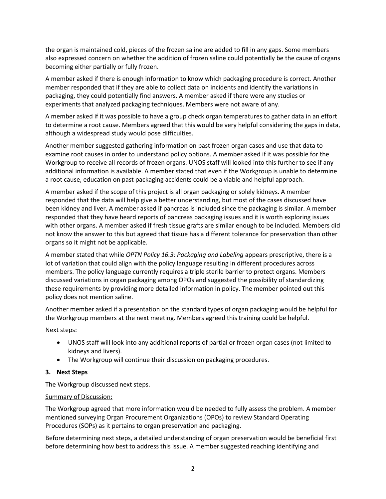the organ is maintained cold, pieces of the frozen saline are added to fill in any gaps. Some members also expressed concern on whether the addition of frozen saline could potentially be the cause of organs becoming either partially or fully frozen.

A member asked if there is enough information to know which packaging procedure is correct. Another member responded that if they are able to collect data on incidents and identify the variations in packaging, they could potentially find answers. A member asked if there were any studies or experiments that analyzed packaging techniques. Members were not aware of any.

A member asked if it was possible to have a group check organ temperatures to gather data in an effort to determine a root cause. Members agreed that this would be very helpful considering the gaps in data, although a widespread study would pose difficulties.

Another member suggested gathering information on past frozen organ cases and use that data to examine root causes in order to understand policy options. A member asked if it was possible for the Workgroup to receive all records of frozen organs. UNOS staff will looked into this further to see if any additional information is available. A member stated that even if the Workgroup is unable to determine a root cause, education on past packaging accidents could be a viable and helpful approach.

A member asked if the scope of this project is all organ packaging or solely kidneys. A member responded that the data will help give a better understanding, but most of the cases discussed have been kidney and liver. A member asked if pancreas is included since the packaging is similar. A member responded that they have heard reports of pancreas packaging issues and it is worth exploring issues with other organs. A member asked if fresh tissue grafts are similar enough to be included. Members did not know the answer to this but agreed that tissue has a different tolerance for preservation than other organs so it might not be applicable.

A member stated that while *OPTN Policy 16.3: Packaging and Labeling* appears prescriptive, there is a lot of variation that could align with the policy language resulting in different procedures across members. The policy language currently requires a triple sterile barrier to protect organs. Members discussed variations in organ packaging among OPOs and suggested the possibility of standardizing these requirements by providing more detailed information in policy. The member pointed out this policy does not mention saline.

Another member asked if a presentation on the standard types of organ packaging would be helpful for the Workgroup members at the next meeting. Members agreed this training could be helpful.

## Next steps:

- UNOS staff will look into any additional reports of partial or frozen organ cases (not limited to kidneys and livers).
- The Workgroup will continue their discussion on packaging procedures.

## **3. Next Steps**

The Workgroup discussed next steps.

## Summary of Discussion:

The Workgroup agreed that more information would be needed to fully assess the problem. A member mentioned surveying Organ Procurement Organizations (OPOs) to review Standard Operating Procedures (SOPs) as it pertains to organ preservation and packaging.

Before determining next steps, a detailed understanding of organ preservation would be beneficial first before determining how best to address this issue. A member suggested reaching identifying and